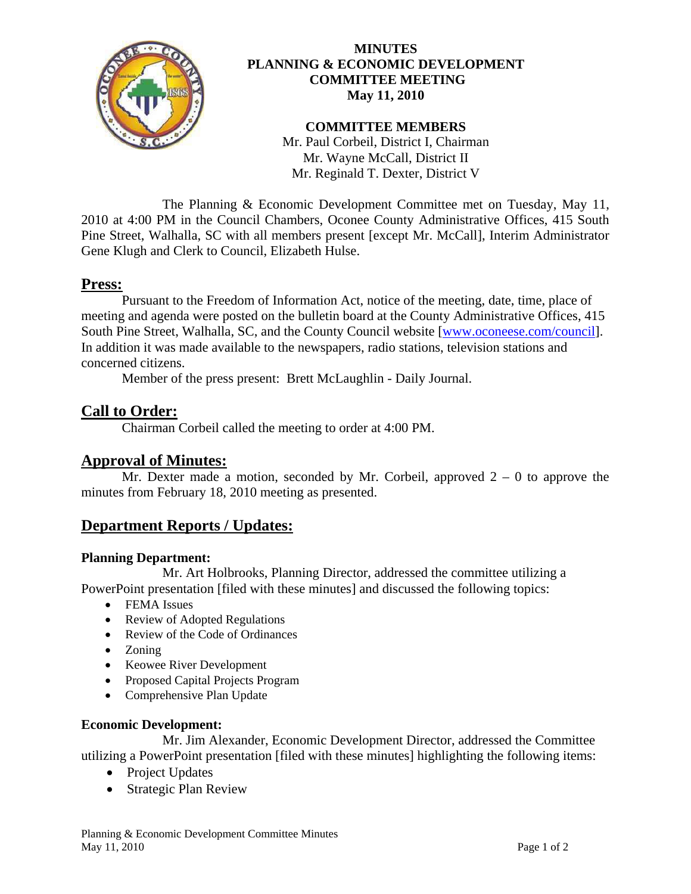

# **MINUTES PLANNING & ECONOMIC DEVELOPMENT COMMITTEE MEETING May 11, 2010**

# **COMMITTEE MEMBERS**

Mr. Paul Corbeil, District I, Chairman Mr. Wayne McCall, District II Mr. Reginald T. Dexter, District V

 The Planning & Economic Development Committee met on Tuesday, May 11, 2010 at 4:00 PM in the Council Chambers, Oconee County Administrative Offices, 415 South Pine Street, Walhalla, SC with all members present [except Mr. McCall], Interim Administrator Gene Klugh and Clerk to Council, Elizabeth Hulse.

# **Press:**

 Pursuant to the Freedom of Information Act, notice of the meeting, date, time, place of meeting and agenda were posted on the bulletin board at the County Administrative Offices, 415 South Pine Street, Walhalla, SC, and the County Council website [\[www.oconeese.com/council\]](http://www.oconeese.com/council). In addition it was made available to the newspapers, radio stations, television stations and concerned citizens.

Member of the press present: Brett McLaughlin - Daily Journal.

# **Call to Order:**

Chairman Corbeil called the meeting to order at 4:00 PM.

# **Approval of Minutes:**

Mr. Dexter made a motion, seconded by Mr. Corbeil, approved  $2 - 0$  to approve the minutes from February 18, 2010 meeting as presented.

# **Department Reports / Updates:**

#### **Planning Department:**

 Mr. Art Holbrooks, Planning Director, addressed the committee utilizing a PowerPoint presentation [filed with these minutes] and discussed the following topics:

- FEMA Issues
- Review of Adopted Regulations
- Review of the Code of Ordinances
- Zoning
- Keowee River Development
- Proposed Capital Projects Program
- Comprehensive Plan Update

#### **Economic Development:**

 Mr. Jim Alexander, Economic Development Director, addressed the Committee utilizing a PowerPoint presentation [filed with these minutes] highlighting the following items:

- Project Updates
- Strategic Plan Review